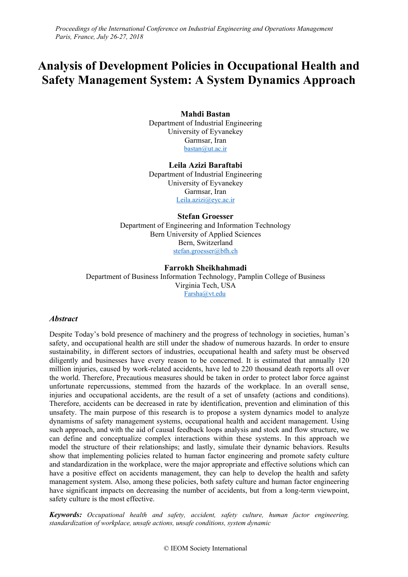# **Analysis of Development Policies in Occupational Health and Safety Management System: A System Dynamics Approach**

## **Mahdi Bastan**

Department of Industrial Engineering University of Eyvanekey Garmsar, Iran [bastan@ut.ac.ir](mailto:bastan@ut.ac.ir)

**Leila Azizi Baraftabi** Department of Industrial Engineering University of Eyvanekey Garmsar, Iran [Leila.azizi@eyc.ac.ir](mailto:Leila.azizi@eyc.ac.ir)

#### **Stefan Groesser**

Department of Engineering and Information Technology Bern University of Applied Sciences Bern, Switzerland [stefan.groesser@bfh.ch](mailto:stefan.groesser@bfh.ch)

## **Farrokh Sheikhahmadi**

Department of Business Information Technology, Pamplin College of Business Virginia Tech, USA [Farsha@vt.edu](mailto:Farsha@vt.edu)

## *Abstract*

Despite Today's bold presence of machinery and the progress of technology in societies, human's safety, and occupational health are still under the shadow of numerous hazards. In order to ensure sustainability, in different sectors of industries, occupational health and safety must be observed diligently and businesses have every reason to be concerned. It is estimated that annually 120 million injuries, caused by work-related accidents, have led to 220 thousand death reports all over the world. Therefore, Precautious measures should be taken in order to protect labor force against unfortunate repercussions, stemmed from the hazards of the workplace. In an overall sense, injuries and occupational accidents, are the result of a set of unsafety (actions and conditions). Therefore, accidents can be decreased in rate by identification, prevention and elimination of this unsafety. The main purpose of this research is to propose a system dynamics model to analyze dynamisms of safety management systems, occupational health and accident management. Using such approach, and with the aid of causal feedback loops analysis and stock and flow structure, we can define and conceptualize complex interactions within these systems. In this approach we model the structure of their relationships; and lastly, simulate their dynamic behaviors. Results show that implementing policies related to human factor engineering and promote safety culture and standardization in the workplace, were the major appropriate and effective solutions which can have a positive effect on accidents management, they can help to develop the health and safety management system. Also, among these policies, both safety culture and human factor engineering have significant impacts on decreasing the number of accidents, but from a long-term viewpoint, safety culture is the most effective.

*Keywords: Occupational health and safety, accident, safety culture, human factor engineering, standardization of workplace, unsafe actions, unsafe conditions, system dynamic*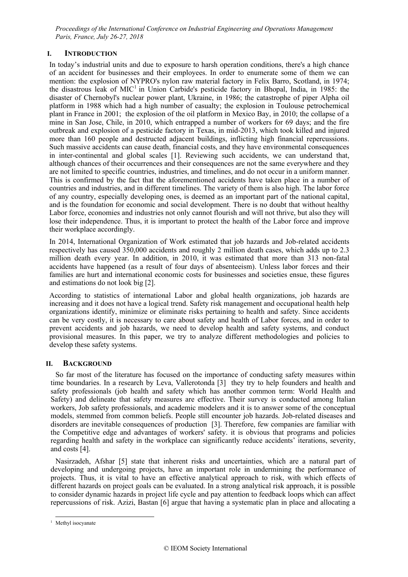## **I. INTRODUCTION**

In today's industrial units and due to exposure to harsh operation conditions, there's a high chance of an accident for businesses and their employees. In order to enumerate some of them we can mention: the explosion of NYPRO's nylon raw material factory in Felix Barro, Scotland, in 1974; the disastrous leak of MIC<sup>1</sup> in Union Carbide's pesticide factory in Bhopal, India, in 1985: the disaster of Chernobyl's nuclear power plant, Ukraine, in 1986; the catastrophe of piper Alpha oil platform in 1988 which had a high number of casualty; the explosion in Toulouse petrochemical plant in France in 2001; the explosion of the oil platform in Mexico Bay, in 2010; the collapse of a mine in San Jose, Chile, in 2010, which entrapped a number of workers for 69 days; and the fire outbreak and explosion of a pesticide factory in Texas, in mid-2013, which took killed and injured more than 160 people and destructed adjacent buildings, inflicting high financial repercussions. Such massive accidents can cause death, financial costs, and they have environmental consequences in inter-continental and global scales [1]. Reviewing such accidents, we can understand that, although chances of their occurrences and their consequences are not the same everywhere and they are not limited to specific countries, industries, and timelines, and do not occur in a uniform manner. This is confirmed by the fact that the aforementioned accidents have taken place in a number of countries and industries, and in different timelines. The variety of them is also high. The labor force of any country, especially developing ones, is deemed as an important part of the national capital, and is the foundation for economic and social development. There is no doubt that without healthy Labor force, economies and industries not only cannot flourish and will not thrive, but also they will lose their independence. Thus, it is important to protect the health of the Labor force and improve their workplace accordingly.

In 2014, International Organization of Work estimated that job hazards and Job-related accidents respectively has caused 350,000 accidents and roughly 2 million death cases, which adds up to 2.3 million death every year. In addition, in 2010, it was estimated that more than 313 non-fatal accidents have happened (as a result of four days of absenteeism). Unless labor forces and their families are hurt and international economic costs for businesses and societies ensue, these figures and estimations do not look big [2].

According to statistics of international Labor and global health organizations, job hazards are increasing and it does not have a logical trend. Safety risk management and occupational health help organizations identify, minimize or eliminate risks pertaining to health and safety. Since accidents can be very costly, it is necessary to care about safety and health of Labor forces, and in order to prevent accidents and job hazards, we need to develop health and safety systems, and conduct provisional measures. In this paper, we try to analyze different methodologies and policies to develop these safety systems.

## **II. BACKGROUND**

So far most of the literature has focused on the importance of conducting safety measures within time boundaries. In a research by Leva, Vallerotonda [3] they try to help founders and health and safety professionals (job health and safety which has another common term: World Health and Safety) and delineate that safety measures are effective. Their survey is conducted among Italian workers, Job safety professionals, and academic modelers and it is to answer some of the conceptual models, stemmed from common beliefs. People still encounter job hazards. Job-related diseases and disorders are inevitable consequences of production [3]. Therefore, few companies are familiar with the Competitive edge and advantages of workers' safety. it is obvious that programs and policies regarding health and safety in the workplace can significantly reduce accidents' iterations, severity, and costs [4].

Nasirzadeh, Afshar [5] state that inherent risks and uncertainties, which are a natural part of developing and undergoing projects, have an important role in undermining the performance of projects. Thus, it is vital to have an effective analytical approach to risk, with which effects of different hazards on project goals can be evaluated. In a strong analytical risk approach, it is possible to consider dynamic hazards in project life cycle and pay attention to feedback loops which can affect repercussions of risk. Azizi, Bastan [6] argue that having a systematic plan in place and allocating a

-

<sup>&</sup>lt;sup>1</sup> Methyl isocyanate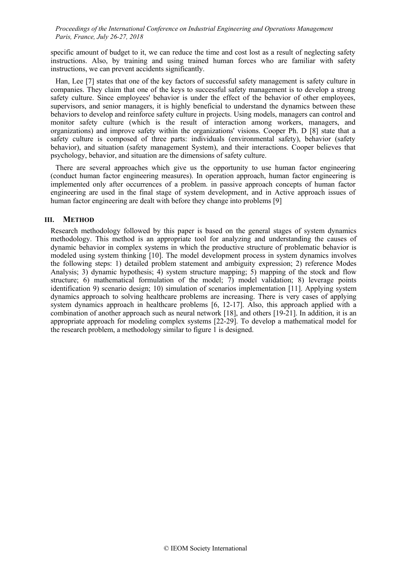specific amount of budget to it, we can reduce the time and cost lost as a result of neglecting safety instructions. Also, by training and using trained human forces who are familiar with safety instructions, we can prevent accidents significantly.

Han, Lee [7] states that one of the key factors of successful safety management is safety culture in companies. They claim that one of the keys to successful safety management is to develop a strong safety culture. Since employees' behavior is under the effect of the behavior of other employees, supervisors, and senior managers, it is highly beneficial to understand the dynamics between these behaviors to develop and reinforce safety culture in projects. Using models, managers can control and monitor safety culture (which is the result of interaction among workers, managers, and organizations) and improve safety within the organizations' visions. Cooper Ph. D [8] state that a safety culture is composed of three parts: individuals (environmental safety), behavior (safety behavior), and situation (safety management System), and their interactions. Cooper believes that psychology, behavior, and situation are the dimensions of safety culture.

There are several approaches which give us the opportunity to use human factor engineering (conduct human factor engineering measures). In operation approach, human factor engineering is implemented only after occurrences of a problem. in passive approach concepts of human factor engineering are used in the final stage of system development, and in Active approach issues of human factor engineering are dealt with before they change into problems [9]

### **III. METHOD**

Research methodology followed by this paper is based on the general stages of system dynamics methodology. This method is an appropriate tool for analyzing and understanding the causes of dynamic behavior in complex systems in which the productive structure of problematic behavior is modeled using system thinking [10]. The model development process in system dynamics involves the following steps: 1) detailed problem statement and ambiguity expression; 2) reference Modes Analysis; 3) dynamic hypothesis; 4) system structure mapping; 5) mapping of the stock and flow structure; 6) mathematical formulation of the model;  $\overline{7}$ ) model validation; 8) leverage points identification 9) scenario design; 10) simulation of scenarios implementation [11]. Applying system dynamics approach to solving healthcare problems are increasing. There is very cases of applying system dynamics approach in healthcare problems [6, 12-17]. Also, this approach applied with a combination of another approach such as neural network [18], and others [19-21]. In addition, it is an appropriate approach for modeling complex systems [22-29]. To develop a mathematical model for the research problem, a methodology similar to figure 1 is designed.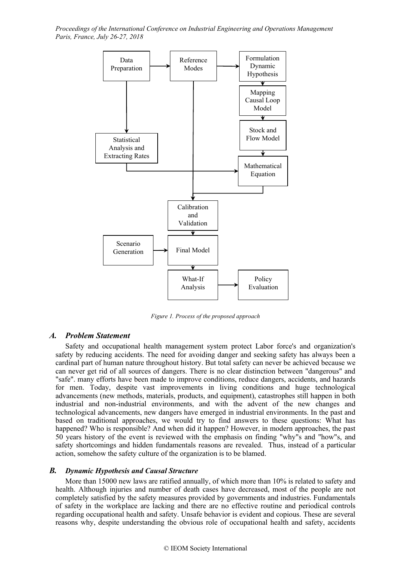

*Figure 1. Process of the proposed approach*

## *A. Problem Statement*

Safety and occupational health management system protect Labor force's and organization's safety by reducing accidents. The need for avoiding danger and seeking safety has always been a cardinal part of human nature throughout history. But total safety can never be achieved because we can never get rid of all sources of dangers. There is no clear distinction between "dangerous" and "safe". many efforts have been made to improve conditions, reduce dangers, accidents, and hazards for men. Today, despite vast improvements in living conditions and huge technological advancements (new methods, materials, products, and equipment), catastrophes still happen in both industrial and non-industrial environments, and with the advent of the new changes and technological advancements, new dangers have emerged in industrial environments. In the past and based on traditional approaches, we would try to find answers to these questions: What has happened? Who is responsible? And when did it happen? However, in modern approaches, the past 50 years history of the event is reviewed with the emphasis on finding "why"s and "how"s, and safety shortcomings and hidden fundamentals reasons are revealed. Thus, instead of a particular action, somehow the safety culture of the organization is to be blamed.

### *B. Dynamic Hypothesis and Causal Structure*

More than 15000 new laws are ratified annually, of which more than 10% is related to safety and health. Although injuries and number of death cases have decreased, most of the people are not completely satisfied by the safety measures provided by governments and industries. Fundamentals of safety in the workplace are lacking and there are no effective routine and periodical controls regarding occupational health and safety. Unsafe behavior is evident and copious. These are several reasons why, despite understanding the obvious role of occupational health and safety, accidents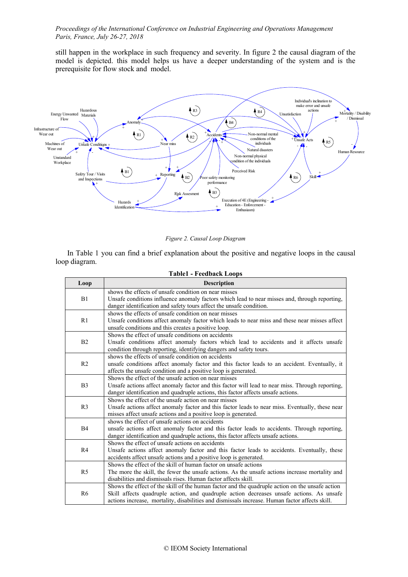still happen in the workplace in such frequency and severity. In figure 2 the causal diagram of the model is depicted. this model helps us have a deeper understanding of the system and is the prerequisite for flow stock and model.



*Figure 2. Causal Loop Diagram*

In Table 1 you can find a brief explanation about the positive and negative loops in the causal loop diagram.

| <b>Table1 - Feedback Loops</b> |                                                                                                                                                                                                                                                                                               |  |  |  |
|--------------------------------|-----------------------------------------------------------------------------------------------------------------------------------------------------------------------------------------------------------------------------------------------------------------------------------------------|--|--|--|
| Loop                           | <b>Description</b>                                                                                                                                                                                                                                                                            |  |  |  |
| B1                             | shows the effects of unsafe condition on near misses<br>Unsafe conditions influence anomaly factors which lead to near misses and, through reporting,<br>danger identification and safety tours affect the unsafe condition.                                                                  |  |  |  |
| R1                             | shows the effects of unsafe condition on near misses<br>Unsafe conditions affect anomaly factor which leads to near miss and these near misses affect<br>unsafe conditions and this creates a positive loop.                                                                                  |  |  |  |
| B2                             | Shows the effect of unsafe conditions on accidents<br>Unsafe conditions affect anomaly factors which lead to accidents and it affects unsafe<br>condition through reporting, identifying dangers and safety tours.                                                                            |  |  |  |
| R <sub>2</sub>                 | shows the effects of unsafe condition on accidents<br>unsafe conditions affect anomaly factor and this factor leads to an accident. Eventually, it<br>affects the unsafe condition and a positive loop is generated.                                                                          |  |  |  |
| B <sub>3</sub>                 | Shows the effect of the unsafe action on near misses<br>Unsafe actions affect anomaly factor and this factor will lead to near miss. Through reporting,<br>danger identification and quadruple actions, this factor affects unsafe actions.                                                   |  |  |  |
| R <sub>3</sub>                 | Shows the effect of the unsafe action on near misses<br>Unsafe actions affect anomaly factor and this factor leads to near miss. Eventually, these near<br>misses affect unsafe actions and a positive loop is generated.                                                                     |  |  |  |
| <b>B4</b>                      | shows the effect of unsafe actions on accidents<br>unsafe actions affect anomaly factor and this factor leads to accidents. Through reporting,<br>danger identification and quadruple actions, this factor affects unsafe actions.                                                            |  |  |  |
| R <sub>4</sub>                 | Shows the effect of unsafe actions on accidents<br>Unsafe actions affect anomaly factor and this factor leads to accidents. Eventually, these<br>accidents affect unsafe actions and a positive loop is generated.                                                                            |  |  |  |
| R <sub>5</sub>                 | Shows the effect of the skill of human factor on unsafe actions<br>The more the skill, the fewer the unsafe actions. As the unsafe actions increase mortality and<br>disabilities and dismissals rises. Human factor affects skill.                                                           |  |  |  |
| R <sub>6</sub>                 | Shows the effect of the skill of the human factor and the quadruple action on the unsafe action<br>Skill affects quadruple action, and quadruple action decreases unsafe actions. As unsafe<br>actions increase, mortality, disabilities and dismissals increase. Human factor affects skill. |  |  |  |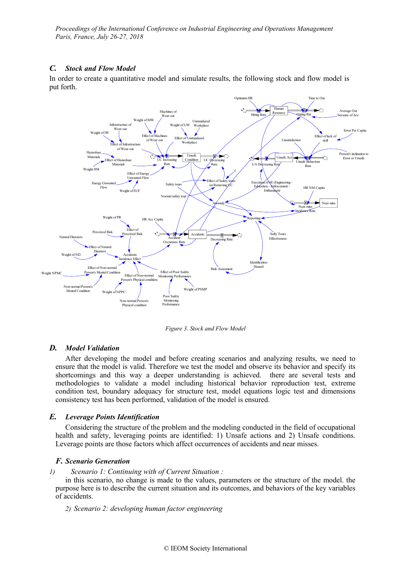## *C. Stock and Flow Model*

In order to create a quantitative model and simulate results, the following stock and flow model is put forth.



*Figure 3. Stock and Flow Model*

### *D. Model Validation*

After developing the model and before creating scenarios and analyzing results, we need to ensure that the model is valid. Therefore we test the model and observe its behavior and specify its shortcomings and this way a deeper understanding is achieved. there are several tests and methodologies to validate a model including historical behavior reproduction test, extreme condition test, boundary adequacy for structure test, model equations logic test and dimensions consistency test has been performed, validation of the model is ensured.

### *E. Leverage Points Identification*

Considering the structure of the problem and the modeling conducted in the field of occupational health and safety, leveraging points are identified: 1) Unsafe actions and 2) Unsafe conditions. Leverage points are those factors which affect occurrences of accidents and near misses.

#### *F. Scenario Generation*

*1) Scenario 1: Continuing with of Current Situation :* 

in this scenario, no change is made to the values, parameters or the structure of the model. the purpose here is to describe the current situation and its outcomes, and behaviors of the key variables of accidents.

*2) Scenario 2: developing human factor engineering*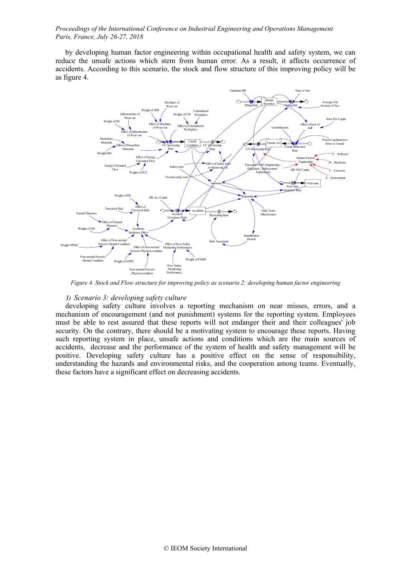by developing human factor engineering within occupational health and safety system, we can reduce the unsafe actions which stem from human error. As a result, it affects occurrence of accidents. According to this scenario, the stock and flow structure of this improving policy will be as figure 4.



*Figure 4. Stock and Flow structure for improving policy as scenario 2: developing human factor engineering*

## *3) Scenario 3: developing safety culture*

developing safety culture involves a reporting mechanism on near misses, errors, and a mechanism of encouragement (and not punishment) systems for the reporting system. Employees must be able to rest assured that these reports will not endanger their and their colleagues' job security. On the contrary, there should be a motivating system to encourage these reports. Having such reporting system in place, unsafe actions and conditions which are the main sources of accidents, decrease and the performance of the system of health and safety management will be positive. Developing safety culture has a positive effect on the sense of responsibility, understanding the hazards and environmental risks, and the cooperation among teams. Eventually, these factors have a significant effect on decreasing accidents.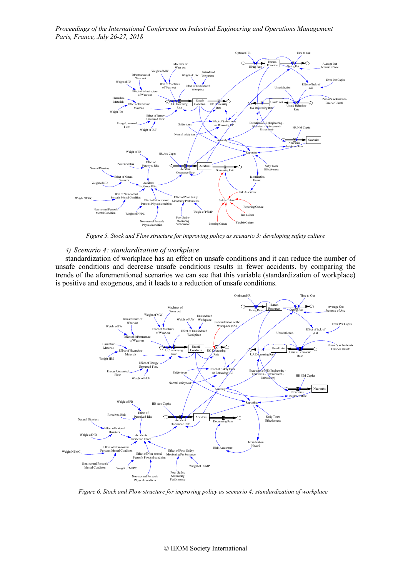

*Figure 5. Stock and Flow structure for improving policy as scenario 3: developing safety culture*

#### *4) Scenario 4: standardization of workplace*

standardization of workplace has an effect on unsafe conditions and it can reduce the number of unsafe conditions and decrease unsafe conditions results in fewer accidents. by comparing the trends of the aforementioned scenarios we can see that this variable (standardization of workplace) is positive and exogenous, and it leads to a reduction of unsafe conditions.



*Figure 6. Stock and Flow structure for improving policy as scenario 4: standardization of workplace*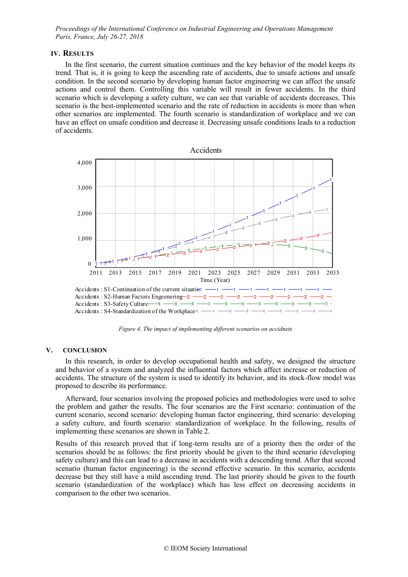#### **IV. RESULTS**

In the first scenario, the current situation continues and the key behavior of the model keeps its trend. That is, it is going to keep the ascending rate of accidents, due to unsafe actions and unsafe condition. In the second scenario by developing human factor engineering we can affect the unsafe actions and control them. Controlling this variable will result in fewer accidents. In the third scenario which is developing a safety culture, we can see that variable of accidents decreases. This scenario is the best-implemented scenario and the rate of reduction in accidents is more than when other scenarios are implemented. The fourth scenario is standardization of workplace and we can have an effect on unsafe condition and decrease it. Decreasing unsafe conditions leads to a reduction of accidents.



*Figure 4. The impact of implementing different scenarios on accidnets*

#### **V. CONCLUSION**

In this research, in order to develop occupational health and safety, we designed the structure and behavior of a system and analyzed the influential factors which affect increase or reduction of accidents. The structure of the system is used to identify its behavior, and its stock-flow model was proposed to describe its performance.

Afterward, four scenarios involving the proposed policies and methodologies were used to solve the problem and gather the results. The four scenarios are the First scenario: continuation of the current scenario, second scenario: developing human factor engineering, third scenario: developing a safety culture, and fourth scenario: standardization of workplace. In the following, results of implementing these scenarios are shown in Table 2.

Results of this research proved that if long-term results are of a priority then the order of the scenarios should be as follows: the first priority should be given to the third scenario (developing safety culture) and this can lead to a decrease in accidents with a descending trend. After that second scenario (human factor engineering) is the second effective scenario. In this scenario, accidents decrease but they still have a mild ascending trend. The last priority should be given to the fourth scenario (standardization of the workplace) which has less effect on decreasing accidents in comparison to the other two scenarios.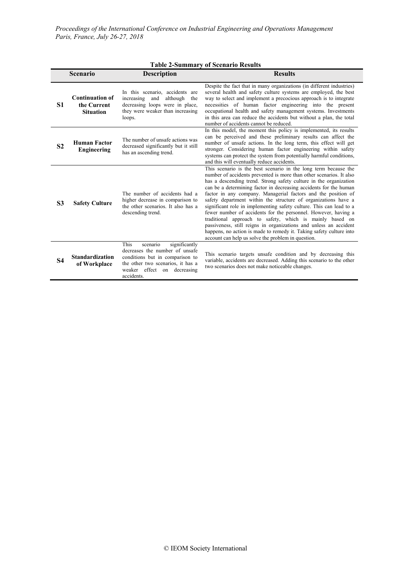## **Table 2-Summary of Scenario Results**

|                | <b>Scenario</b>                                           | <b>Description</b>                                                                                                                                                                       | <b>Results</b>                                                                                                                                                                                                                                                                                                                                                                                                                                                                                                                                                                                                                                                                                                                                                                                                             |
|----------------|-----------------------------------------------------------|------------------------------------------------------------------------------------------------------------------------------------------------------------------------------------------|----------------------------------------------------------------------------------------------------------------------------------------------------------------------------------------------------------------------------------------------------------------------------------------------------------------------------------------------------------------------------------------------------------------------------------------------------------------------------------------------------------------------------------------------------------------------------------------------------------------------------------------------------------------------------------------------------------------------------------------------------------------------------------------------------------------------------|
| S1             | <b>Continuation of</b><br>the Current<br><b>Situation</b> | In this scenario, accidents are<br>increasing<br>and<br>although<br>the<br>decreasing loops were in place,<br>they were weaker than increasing<br>loops.                                 | Despite the fact that in many organizations (in different industries)<br>several health and safety culture systems are employed, the best<br>way to select and implement a precocious approach is to integrate<br>necessities of human factor engineering into the present<br>occupational health and safety management systems. Investments<br>in this area can reduce the accidents but without a plan, the total<br>number of accidents cannot be reduced.                                                                                                                                                                                                                                                                                                                                                              |
| S <sub>2</sub> | <b>Human Factor</b><br><b>Engineering</b>                 | The number of unsafe actions was<br>decreased significantly but it still<br>has an ascending trend.                                                                                      | In this model, the moment this policy is implemented, its results<br>can be perceived and these preliminary results can affect the<br>number of unsafe actions. In the long term, this effect will get<br>stronger. Considering human factor engineering within safety<br>systems can protect the system from potentially harmful conditions,<br>and this will eventually reduce accidents.                                                                                                                                                                                                                                                                                                                                                                                                                                |
| S <sub>3</sub> | <b>Safety Culture</b>                                     | The number of accidents had a<br>higher decrease in comparison to<br>the other scenarios. It also has a<br>descending trend.                                                             | This scenario is the best scenario in the long term because the<br>number of accidents prevented is more than other scenarios. It also<br>has a descending trend. Strong safety culture in the organization<br>can be a determining factor in decreasing accidents for the human<br>factor in any company. Managerial factors and the position of<br>safety department within the structure of organizations have a<br>significant role in implementing safety culture. This can lead to a<br>fewer number of accidents for the personnel. However, having a<br>traditional approach to safety, which is mainly based on<br>passiveness, still reigns in organizations and unless an accident<br>happens, no action is made to remedy it. Taking safety culture into<br>account can help us solve the problem in question. |
| <b>S4</b>      | <b>Standardization</b><br>of Workplace                    | This<br>significantly<br>scenario<br>decreases the number of unsafe<br>conditions but in comparison to<br>the other two scenarios, it has a<br>weaker effect on decreasing<br>accidents. | This scenario targets unsafe condition and by decreasing this<br>variable, accidents are decreased. Adding this scenario to the other<br>two scenarios does not make noticeable changes.                                                                                                                                                                                                                                                                                                                                                                                                                                                                                                                                                                                                                                   |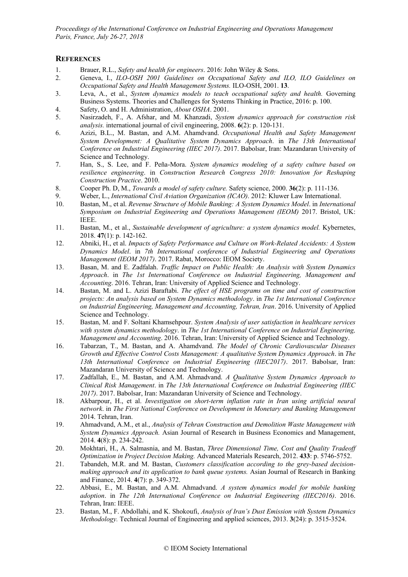## **REFERENCES**

- 1. Brauer, R.L., *Safety and health for engineers*. 2016: John Wiley & Sons.
- 2. Geneva, I., *ILO-OSH 2001 Guidelines on Occupational Safety and ILO, ILO Guidelines on Occupational Safety and Health Management Systems.* ILO-OSH, 2001. **13**.
- 3. Leva, A., et al., *System dynamics models to teach occupational safety and health.* Governing Business Systems. Theories and Challenges for Systems Thinking in Practice, 2016: p. 100.
- 4. Safety, O. and H. Administration, *About OSHA*. 2001.
- 5. Nasirzadeh, F., A. Afshar, and M. Khanzadi, *System dynamics approach for construction risk analysis.* international journal of civil engineering, 2008. **6**(2): p. 120-131.
- 6. Azizi, B.L., M. Bastan, and A.M. Ahamdvand. *Occupational Health and Safety Management System Development: A Qualitative System Dynamics Approach*. in *The 13th International Conference on Industrial Engineering (IIEC 2017)*. 2017. Babolsar, Iran: Mazandaran University of Science and Technology.
- 7. Han, S., S. Lee, and F. Peña-Mora. *System dynamics modeling of a safety culture based on resilience engineering*. in *Construction Research Congress 2010: Innovation for Reshaping Construction Practice*. 2010.
- 8. Cooper Ph. D, M., *Towards a model of safety culture.* Safety science, 2000. **36**(2): p. 111-136.
- 9. Weber, L., *International Civil Aviation Organization (ICAO)*. 2012: Kluwer Law International.
- 10. Bastan, M., et al. *Revenue Structure of Mobile Banking: A System Dynamics Model*. in *International Symposium on Industrial Engineering and Operations Management (IEOM)* 2017. Bristol, UK: IEEE.
- 11. Bastan, M., et al., *Sustainable development of agriculture: a system dynamics model.* Kybernetes, 2018. **47**(1): p. 142-162.
- 12. Abniki, H., et al. *Impacts of Safety Performance and Culture on Work-Related Accidents: A System Dynamics Model*. in *7th International conference of Industrial Engineering and Operations Management (IEOM 2017)*. 2017. Rabat, Morocco: IEOM Society.
- 13. Basan, M. and E. Zadfalah. *Traffic Impact on Public Health: An Analysis with System Dynamics Approach*. in *The 1st International Conference on Industrial Engineering, Management and Accounting*. 2016. Tehran, Iran: University of Applied Science and Technology.
- 14. Bastan, M. and L. Azizi Baraftabi. *The effect of HSE programs on time and cost of construction projects: An analysis based on System Dynamics methodology*. in *The 1st International Conference on Industrial Engineering, Management and Accounting, Tehran, Iran*. 2016. University of Applied Science and Technology.
- 15. Bastan, M. and F. Soltani Khamsehpour. *System Analysis of user satisfaction in healthcare services with system dynamics methodology*. in *The 1st International Conference on Industrial Engineering, Management and Accounting*. 2016. Tehran, Iran: University of Applied Science and Technology.
- 16. Tabarzan, T., M. Bastan, and A. Ahamdvand. *The Model of Chronic Cardiovascular Diseases Growth and Effective Control Costs Management: A qualitative System Dynamics Approach*. in *The 13th International Conference on Industrial Engineering (IIEC2017)*. 2017. Babolsar, Iran: Mazandaran University of Science and Technology.
- 17. Zadfallah, E., M. Bastan, and A.M. Ahmadvand. *A Qualitative System Dynamics Approach to Clinical Risk Management*. in *The 13th International Conference on Industrial Engineering (IIEC 2017)*. 2017. Babolsar, Iran: Mazandaran University of Science and Technology.
- 18. Akbarpour, H., et al. *Investigation on short-term inflation rate in Iran using artificial neural network*. in *The First National Conference on Development in Monetary and Banking Management*  2014. Tehran, Iran.
- 19. Ahmadvand, A.M., et al., *Analysis of Tehran Construction and Demolition Waste Management with System Dynamics Approach.* Asian Journal of Research in Business Economics and Management, 2014. **4**(8): p. 234-242.
- 20. Mokhtari, H., A. Salmasnia, and M. Bastan, *Three Dimensional Time, Cost and Quality Tradeoff Optimization in Project Decision Making.* Advanced Materials Research, 2012. **433**: p. 5746-5752.
- 21. Tabandeh, M.R. and M. Bastan, *Customers classification according to the grey-based decisionmaking approach and its application to bank queue systems.* Asian Journal of Research in Banking and Finance, 2014. **4**(7): p. 349-372.
- 22. Abbasi, E., M. Bastan, and A.M. Ahmadvand. *A system dynamics model for mobile banking adoption*. in *The 12th International Conference on Industrial Engineering (IIEC2016)*. 2016. Tehran, Iran: IEEE.
- 23. Bastan, M., F. Abdollahi, and K. Shokoufi, *Analysis of Iran's Dust Emission with System Dynamics Methodology.* Technical Journal of Engineering and applied sciences, 2013. **3**(24): p. 3515-3524.